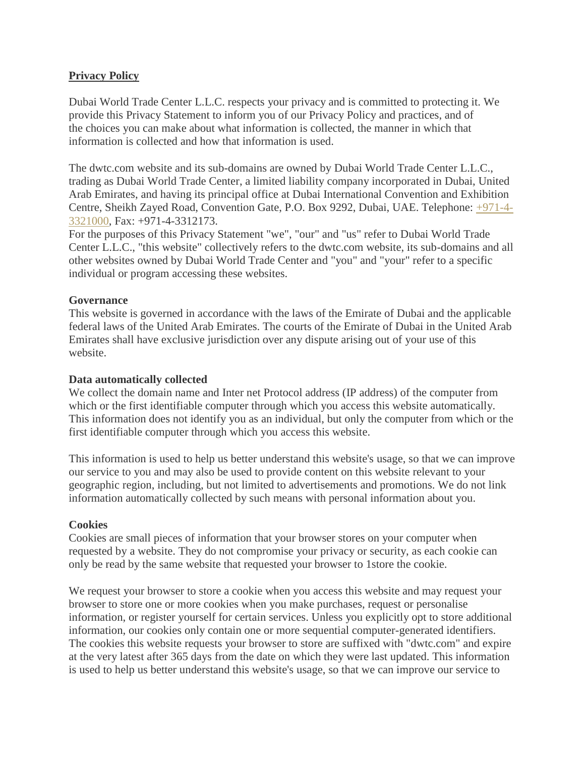# **Privacy Policy**

Dubai World Trade Center L.L.C. respects your privacy and is committed to protecting it. We provide this Privacy Statement to inform you of our Privacy Policy and practices, and of the choices you can make about what information is collected, the manner in which that information is collected and how that information is used.

The dwtc.com website and its sub-domains are owned by Dubai World Trade Center L.L.C., trading as Dubai World Trade Center, a limited liability company incorporated in Dubai, United Arab Emirates, and having its principal office at Dubai International Convention and Exhibition Centre, Sheikh Zayed Road, Convention Gate, P.O. Box 9292, Dubai, UAE. Telephone: [+971-4-](tel:+971-4-3321000) [3321000,](tel:+971-4-3321000) Fax: +971-4-3312173.

For the purposes of this Privacy Statement "we", "our" and "us" refer to Dubai World Trade Center L.L.C., "this website" collectively refers to the dwtc.com website, its sub-domains and all other websites owned by Dubai World Trade Center and "you" and "your" refer to a specific individual or program accessing these websites.

### **Governance**

This website is governed in accordance with the laws of the Emirate of Dubai and the applicable federal laws of the United Arab Emirates. The courts of the Emirate of Dubai in the United Arab Emirates shall have exclusive jurisdiction over any dispute arising out of your use of this website.

### **Data automatically collected**

We collect the domain name and Inter net Protocol address (IP address) of the computer from which or the first identifiable computer through which you access this website automatically. This information does not identify you as an individual, but only the computer from which or the first identifiable computer through which you access this website.

This information is used to help us better understand this website's usage, so that we can improve our service to you and may also be used to provide content on this website relevant to your geographic region, including, but not limited to advertisements and promotions. We do not link information automatically collected by such means with personal information about you.

### **Cookies**

Cookies are small pieces of information that your browser stores on your computer when requested by a website. They do not compromise your privacy or security, as each cookie can only be read by the same website that requested your browser to 1store the cookie.

We request your browser to store a cookie when you access this website and may request your browser to store one or more cookies when you make purchases, request or personalise information, or register yourself for certain services. Unless you explicitly opt to store additional information, our cookies only contain one or more sequential computer-generated identifiers. The cookies this website requests your browser to store are suffixed with "dwtc.com" and expire at the very latest after 365 days from the date on which they were last updated. This information is used to help us better understand this website's usage, so that we can improve our service to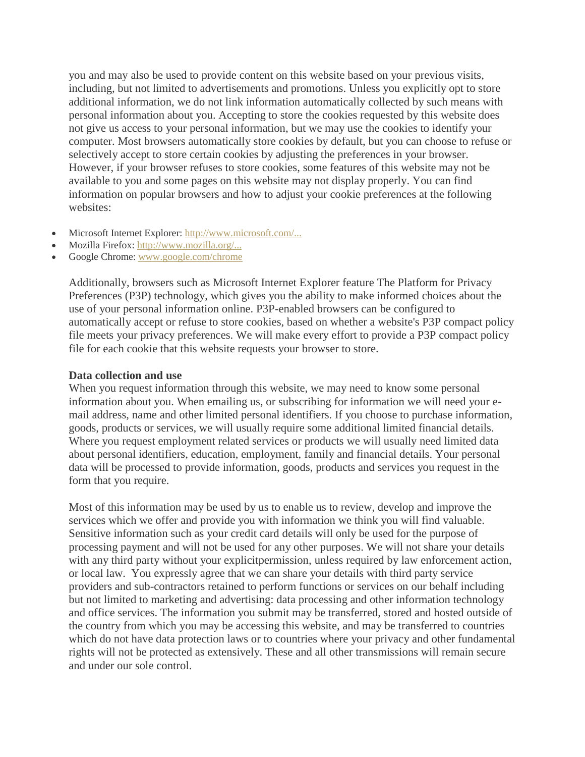you and may also be used to provide content on this website based on your previous visits, including, but not limited to advertisements and promotions. Unless you explicitly opt to store additional information, we do not link information automatically collected by such means with personal information about you. Accepting to store the cookies requested by this website does not give us access to your personal information, but we may use the cookies to identify your computer. Most browsers automatically store cookies by default, but you can choose to refuse or selectively accept to store certain cookies by adjusting the preferences in your browser. However, if your browser refuses to store cookies, some features of this website may not be available to you and some pages on this website may not display properly. You can find information on popular browsers and how to adjust your cookie preferences at the following websites:

- Microsoft Internet Explorer: [http://www.microsoft.com/...](http://www.microsoft.com/info/cookies.htm)
- Mozilla Firefox: [http://www.mozilla.org/...](http://support.mozilla.com/en-US/kb/Cookies)
- Google Chrome: [www.google.com/chrome](http://www.google.com/chrome)

Additionally, browsers such as Microsoft Internet Explorer feature The Platform for Privacy Preferences (P3P) technology, which gives you the ability to make informed choices about the use of your personal information online. P3P-enabled browsers can be configured to automatically accept or refuse to store cookies, based on whether a website's P3P compact policy file meets your privacy preferences. We will make every effort to provide a P3P compact policy file for each cookie that this website requests your browser to store.

#### **Data collection and use**

When you request information through this website, we may need to know some personal information about you. When emailing us, or subscribing for information we will need your email address, name and other limited personal identifiers. If you choose to purchase information, goods, products or services, we will usually require some additional limited financial details. Where you request employment related services or products we will usually need limited data about personal identifiers, education, employment, family and financial details. Your personal data will be processed to provide information, goods, products and services you request in the form that you require.

Most of this information may be used by us to enable us to review, develop and improve the services which we offer and provide you with information we think you will find valuable. Sensitive information such as your credit card details will only be used for the purpose of processing payment and will not be used for any other purposes. We will not share your details with any third party without your explicitpermission, unless required by law enforcement action, or local law. You expressly agree that we can share your details with third party service providers and sub-contractors retained to perform functions or services on our behalf including but not limited to marketing and advertising: data processing and other information technology and office services. The information you submit may be transferred, stored and hosted outside of the country from which you may be accessing this website, and may be transferred to countries which do not have data protection laws or to countries where your privacy and other fundamental rights will not be protected as extensively. These and all other transmissions will remain secure and under our sole control.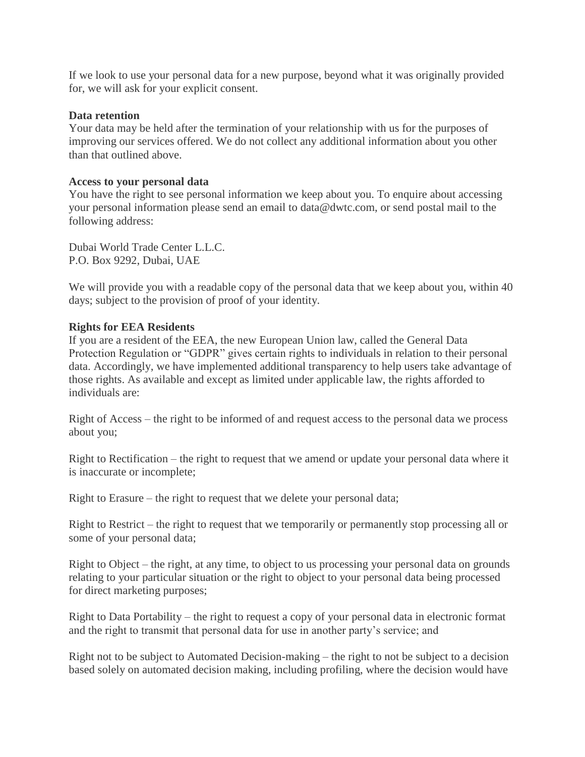If we look to use your personal data for a new purpose, beyond what it was originally provided for, we will ask for your explicit consent.

### **Data retention**

Your data may be held after the termination of your relationship with us for the purposes of improving our services offered. We do not collect any additional information about you other than that outlined above.

#### **Access to your personal data**

You have the right to see personal information we keep about you. To enquire about accessing your personal information please send an email to data@dwtc.com, or send postal mail to the following address:

Dubai World Trade Center L.L.C. P.O. Box 9292, Dubai, UAE

We will provide you with a readable copy of the personal data that we keep about you, within 40 days; subject to the provision of proof of your identity.

#### **Rights for EEA Residents**

If you are a resident of the EEA, the new European Union law, called the General Data Protection Regulation or "GDPR" gives certain rights to individuals in relation to their personal data. Accordingly, we have implemented additional transparency to help users take advantage of those rights. As available and except as limited under applicable law, the rights afforded to individuals are:

Right of Access – the right to be informed of and request access to the personal data we process about you;

Right to Rectification – the right to request that we amend or update your personal data where it is inaccurate or incomplete;

Right to Erasure – the right to request that we delete your personal data;

Right to Restrict – the right to request that we temporarily or permanently stop processing all or some of your personal data;

Right to Object – the right, at any time, to object to us processing your personal data on grounds relating to your particular situation or the right to object to your personal data being processed for direct marketing purposes;

Right to Data Portability – the right to request a copy of your personal data in electronic format and the right to transmit that personal data for use in another party's service; and

Right not to be subject to Automated Decision-making – the right to not be subject to a decision based solely on automated decision making, including profiling, where the decision would have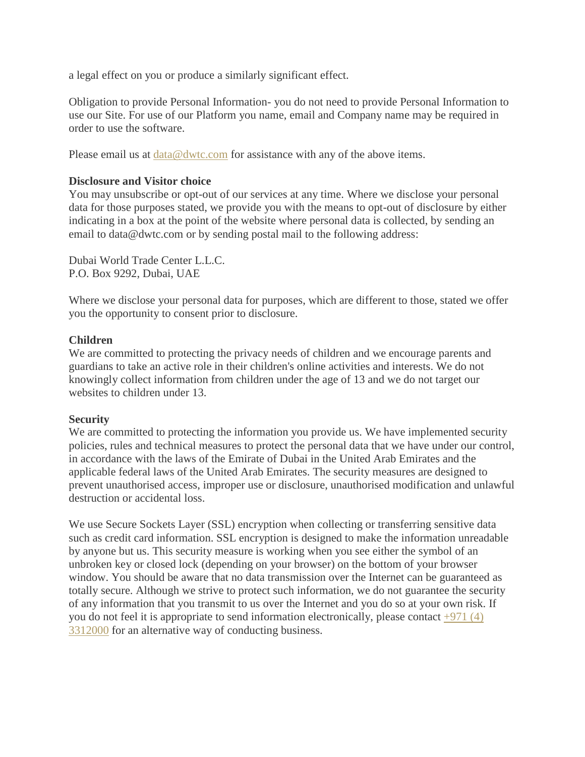a legal effect on you or produce a similarly significant effect.

Obligation to provide Personal Information- you do not need to provide Personal Information to use our Site. For use of our Platform you name, email and Company name may be required in order to use the software.

Please email us at  $data@dwtc.com$  for assistance with any of the above items.

### **Disclosure and Visitor choice**

You may unsubscribe or opt-out of our services at any time. Where we disclose your personal data for those purposes stated, we provide you with the means to opt-out of disclosure by either indicating in a box at the point of the website where personal data is collected, by sending an email to data@dwtc.com or by sending postal mail to the following address:

Dubai World Trade Center L.L.C. P.O. Box 9292, Dubai, UAE

Where we disclose your personal data for purposes, which are different to those, stated we offer you the opportunity to consent prior to disclosure.

### **Children**

We are committed to protecting the privacy needs of children and we encourage parents and guardians to take an active role in their children's online activities and interests. We do not knowingly collect information from children under the age of 13 and we do not target our websites to children under 13.

### **Security**

We are committed to protecting the information you provide us. We have implemented security policies, rules and technical measures to protect the personal data that we have under our control, in accordance with the laws of the Emirate of Dubai in the United Arab Emirates and the applicable federal laws of the United Arab Emirates. The security measures are designed to prevent unauthorised access, improper use or disclosure, unauthorised modification and unlawful destruction or accidental loss.

We use Secure Sockets Layer (SSL) encryption when collecting or transferring sensitive data such as credit card information. SSL encryption is designed to make the information unreadable by anyone but us. This security measure is working when you see either the symbol of an unbroken key or closed lock (depending on your browser) on the bottom of your browser window. You should be aware that no data transmission over the Internet can be guaranteed as totally secure. Although we strive to protect such information, we do not guarantee the security of any information that you transmit to us over the Internet and you do so at your own risk. If you do not feel it is appropriate to send information electronically, please contact  $+971(4)$ [3312000](tel:+971%20(4)%203312000) for an alternative way of conducting business.